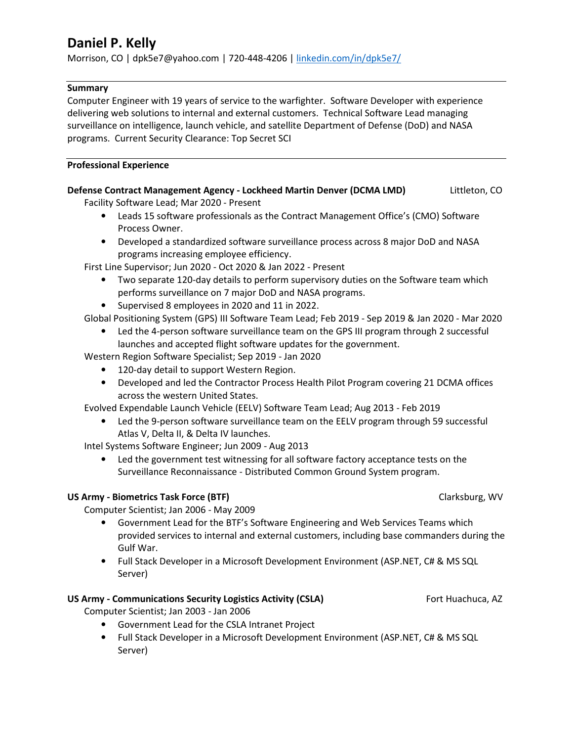# **Daniel P. Kelly**

Morrison, CO | dpk5e7@yahoo.com | 720-448-4206 | linkedin.com/in/dpk5e7/

# **Summary**

Computer Engineer with 19 years of service to the warfighter. Software Developer with experience delivering web solutions to internal and external customers. Technical Software Lead managing surveillance on intelligence, launch vehicle, and satellite Department of Defense (DoD) and NASA programs. Current Security Clearance: Top Secret SCI

# **Professional Experience**

# **Defense Contract Management Agency - Lockheed Martin Denver (DCMA LMD)** Littleton, CO

Facility Software Lead; Mar 2020 - Present

- Leads 15 software professionals as the Contract Management Office's (CMO) Software Process Owner.
- Developed a standardized software surveillance process across 8 major DoD and NASA programs increasing employee efficiency.

First Line Supervisor; Jun 2020 - Oct 2020 & Jan 2022 - Present

- Two separate 120-day details to perform supervisory duties on the Software team which performs surveillance on 7 major DoD and NASA programs.
- Supervised 8 employees in 2020 and 11 in 2022.

Global Positioning System (GPS) III Software Team Lead; Feb 2019 - Sep 2019 & Jan 2020 - Mar 2020

• Led the 4-person software surveillance team on the GPS III program through 2 successful launches and accepted flight software updates for the government.

Western Region Software Specialist; Sep 2019 - Jan 2020

- 120-day detail to support Western Region.
- Developed and led the Contractor Process Health Pilot Program covering 21 DCMA offices across the western United States.

Evolved Expendable Launch Vehicle (EELV) Software Team Lead; Aug 2013 - Feb 2019

• Led the 9-person software surveillance team on the EELV program through 59 successful Atlas V, Delta II, & Delta IV launches.

Intel Systems Software Engineer; Jun 2009 - Aug 2013

• Led the government test witnessing for all software factory acceptance tests on the Surveillance Reconnaissance - Distributed Common Ground System program.

# **US Army - Biometrics Task Force (BTF)**  $\qquad \qquad$  **Clarksburg, WV**

Computer Scientist; Jan 2006 - May 2009

- Government Lead for the BTF's Software Engineering and Web Services Teams which provided services to internal and external customers, including base commanders during the Gulf War.
- Full Stack Developer in a Microsoft Development Environment (ASP.NET, C# & MS SQL Server)

# **US Army - Communications Security Logistics Activity (CSLA) Fort Huachuca, AZ**

Computer Scientist; Jan 2003 - Jan 2006

- Government Lead for the CSLA Intranet Project
- Full Stack Developer in a Microsoft Development Environment (ASP.NET, C# & MS SQL Server)